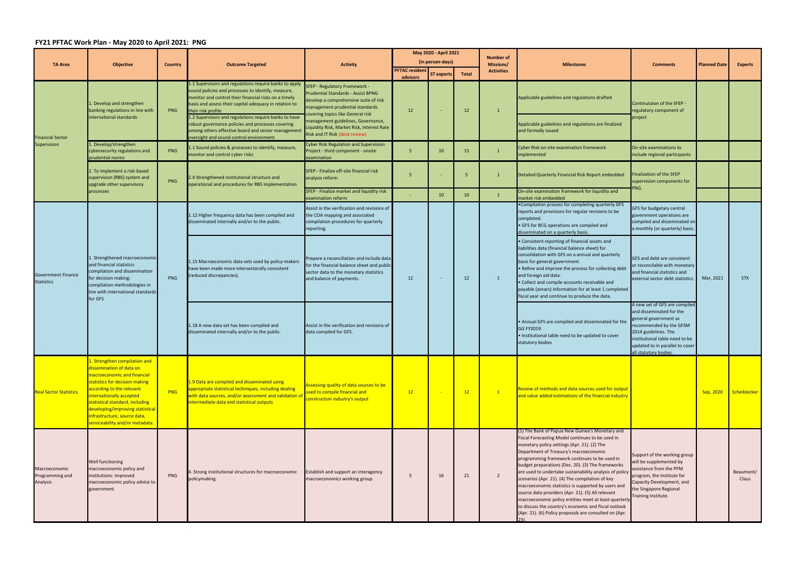## **FY21 PFTAC Work Plan ‐ May 2020 to April 2021: PNG**

| <b>TA Area</b>                                 | <b>Objective</b>                                                                                                                                                                                                                                                                                                              | <b>Country</b> | <b>Outcome Targeted</b>                                                                                                                                                                                                                                                                                                                                                                                                   | <b>Activity</b>                                                                                                                                                                                                                                                                                                   | May 2020 - April 2021 |                   |       | <b>Number of</b>                      |                                                                                                                                                                                                                                                                                                                                                                                                                                                                                                                                                                                                                                                                                                        |                                                                                                                                                                                                |                     |                    |  |  |  |  |  |  |  |  |                                                                                            |                                                                       |  |  |  |  |                                                                                                                                           |
|------------------------------------------------|-------------------------------------------------------------------------------------------------------------------------------------------------------------------------------------------------------------------------------------------------------------------------------------------------------------------------------|----------------|---------------------------------------------------------------------------------------------------------------------------------------------------------------------------------------------------------------------------------------------------------------------------------------------------------------------------------------------------------------------------------------------------------------------------|-------------------------------------------------------------------------------------------------------------------------------------------------------------------------------------------------------------------------------------------------------------------------------------------------------------------|-----------------------|-------------------|-------|---------------------------------------|--------------------------------------------------------------------------------------------------------------------------------------------------------------------------------------------------------------------------------------------------------------------------------------------------------------------------------------------------------------------------------------------------------------------------------------------------------------------------------------------------------------------------------------------------------------------------------------------------------------------------------------------------------------------------------------------------------|------------------------------------------------------------------------------------------------------------------------------------------------------------------------------------------------|---------------------|--------------------|--|--|--|--|--|--|--|--|--------------------------------------------------------------------------------------------|-----------------------------------------------------------------------|--|--|--|--|-------------------------------------------------------------------------------------------------------------------------------------------|
|                                                |                                                                                                                                                                                                                                                                                                                               |                |                                                                                                                                                                                                                                                                                                                                                                                                                           |                                                                                                                                                                                                                                                                                                                   | <b>PFTAC resident</b> | (in person-days)  |       | <b>Missions/</b><br><b>Activities</b> | <b>Milestones</b>                                                                                                                                                                                                                                                                                                                                                                                                                                                                                                                                                                                                                                                                                      | <b>Comments</b>                                                                                                                                                                                | <b>Planned Date</b> | <b>Experts</b>     |  |  |  |  |  |  |  |  |                                                                                            |                                                                       |  |  |  |  |                                                                                                                                           |
|                                                |                                                                                                                                                                                                                                                                                                                               |                |                                                                                                                                                                                                                                                                                                                                                                                                                           |                                                                                                                                                                                                                                                                                                                   | advisors              | <b>ST experts</b> | Total |                                       |                                                                                                                                                                                                                                                                                                                                                                                                                                                                                                                                                                                                                                                                                                        |                                                                                                                                                                                                |                     |                    |  |  |  |  |  |  |  |  |                                                                                            |                                                                       |  |  |  |  |                                                                                                                                           |
| <b>Financial Sector</b><br>Supervision         | Develop and strengthen<br>banking regulations in line with<br>international standards                                                                                                                                                                                                                                         | <b>PNG</b>     | 1.1 Supervisors and regulations require banks to apply<br>sound policies and processes to identify, measure,<br>monitor and control their financial risks on a timely<br>basis and assess their capital adequacy in relation to<br>their risk profile<br>1.2 Supervisors and regulations require banks to have<br>robust governance policies and processes covering<br>among others effective board and senior management | SFEP - Regulatory Framework -<br><b>Prudential Standards - Assist BPNG</b><br>develop a comprehensive suite of risk<br>management prudential standards<br>covering topics like General risk<br>management guidelines, Governance,<br>Liquidity Risk, Market Risk, Interest Rate<br>Risk and IT Risk (desk review) | 12                    |                   | 12    | $\mathbf{1}$                          | Applicable guidelines and regulations drafted<br>Applicable guidelines and regulations are finalized<br>and formally issued                                                                                                                                                                                                                                                                                                                                                                                                                                                                                                                                                                            | Continutaion of the SFEP<br>regulatory component of<br>project                                                                                                                                 |                     |                    |  |  |  |  |  |  |  |  |                                                                                            |                                                                       |  |  |  |  |                                                                                                                                           |
|                                                | 1. Develop/strengthen<br>cybersecurity regulations and<br>prudential norms                                                                                                                                                                                                                                                    | <b>PNG</b>     | oversight and sound control environment<br>1.1 Sound policies & processes to identify, measure,<br>monitor and control cyber risks                                                                                                                                                                                                                                                                                        | <b>Cyber Risk Regulation and Supervision</b><br>Project - third component - onsite<br>examination                                                                                                                                                                                                                 | -5                    | 10                | 15    | $\mathbf{1}$                          | <b>Cyber Risk on-site examination framework</b><br>implemented                                                                                                                                                                                                                                                                                                                                                                                                                                                                                                                                                                                                                                         | On-site examinations to<br>include regional participants                                                                                                                                       |                     |                    |  |  |  |  |  |  |  |  |                                                                                            |                                                                       |  |  |  |  |                                                                                                                                           |
|                                                | 2. To implement a risk-based<br>supervision (RBS) system and<br>upgrade other supervisory<br>processes                                                                                                                                                                                                                        | PNG            | 2.4 Strengthened institutional structure and<br>operational and procedures for RBS implementation                                                                                                                                                                                                                                                                                                                         | SFEP - Finalize off-site financial risk<br>analysis reform                                                                                                                                                                                                                                                        | 5                     |                   | -5    |                                       | Detailed Quarterly Financial Risk Report embedded                                                                                                                                                                                                                                                                                                                                                                                                                                                                                                                                                                                                                                                      | <b>Finalization of the SFEP</b><br>supervision components for<br>PNG.                                                                                                                          |                     |                    |  |  |  |  |  |  |  |  |                                                                                            |                                                                       |  |  |  |  |                                                                                                                                           |
|                                                |                                                                                                                                                                                                                                                                                                                               |                |                                                                                                                                                                                                                                                                                                                                                                                                                           | SFEP - Finalize market and liquidity risk<br>examination reform                                                                                                                                                                                                                                                   |                       | 10 <sup>°</sup>   | 10    |                                       | On-site examination framework for liquidity and<br>market risk embedded                                                                                                                                                                                                                                                                                                                                                                                                                                                                                                                                                                                                                                |                                                                                                                                                                                                |                     |                    |  |  |  |  |  |  |  |  |                                                                                            |                                                                       |  |  |  |  |                                                                                                                                           |
| <b>Government Finance</b><br><b>Statistics</b> | L. Strengthened macroeconomic<br>and financial statistics<br>compilation and dissemination<br>for decision making:<br>compilation methodologies in<br>line with international standards<br>for GFS                                                                                                                            | PNG            | 1.12 Higher frequency data has been compiled and<br>disseminated internally and/or to the public.                                                                                                                                                                                                                                                                                                                         | Assist in the verification and revisions of<br>the COA mapping and associated<br>compilation procedures for quarterly<br>reporting.                                                                                                                                                                               |                       |                   | 12    |                                       | . Compilation process for completing quarterly GFS<br>reports and provisions for regular revisions to be<br>completed.<br>• GFS for BCG operations are compiled and<br>disseminated on a quarterly basis.                                                                                                                                                                                                                                                                                                                                                                                                                                                                                              | GFS for budgetary central<br>government operations are<br>compiled and disseminated on<br>a monthly (or quarterly) basis.                                                                      | Mar, 2021           | <b>STX</b>         |  |  |  |  |  |  |  |  |                                                                                            |                                                                       |  |  |  |  |                                                                                                                                           |
|                                                |                                                                                                                                                                                                                                                                                                                               |                | 1.15 Macroeconomic data sets used by policy-makers<br>have been made more intersectorally consistent<br>reduced discrepancies).                                                                                                                                                                                                                                                                                           | Prepare a reconciliation and include data<br>for the financial balance sheet and public<br>sector data to the monetary statistics<br>and balance of payments.                                                                                                                                                     | 12                    |                   |       | $\mathbf{1}$                          | • Consistent reporting of financial assets and<br>liabilities data (financial balance sheet) for<br>consolidation with GFS on a annual and quarterly<br>basis for general government.<br>• Refine and improve the process for collecting debt<br>and foreign aid data.<br>• Collect and compile accounts receivable and<br>payable (arears) information for at least 1 completed<br>fiscal year and continue to produce the data.                                                                                                                                                                                                                                                                      | GFS and debt are consistent<br>or reconcilable with monetary<br>and financial statistics and<br>external sector debt statistics.                                                               |                     |                    |  |  |  |  |  |  |  |  |                                                                                            |                                                                       |  |  |  |  |                                                                                                                                           |
|                                                |                                                                                                                                                                                                                                                                                                                               |                |                                                                                                                                                                                                                                                                                                                                                                                                                           |                                                                                                                                                                                                                                                                                                                   |                       |                   |       |                                       |                                                                                                                                                                                                                                                                                                                                                                                                                                                                                                                                                                                                                                                                                                        |                                                                                                                                                                                                |                     |                    |  |  |  |  |  |  |  |  | 1.18 A new data set has been compiled and<br>disseminated internally and/or to the public. | Assist in the verification and revisions of<br>data compiled for GFS. |  |  |  |  | • Annual GFS are compiled and disseminated for the<br>GG FY2019.<br>. Institutional table need to be updated to cover<br>statutory bodies |
| <b>Real Sector Statistics</b>                  | L. Strengthen compilation and<br>dissemination of data on<br>macroeconomic and financial<br>statistics for decision making<br>according to the relevant<br>internationally accepted<br>statistical standard, including<br>developing/improving statistical<br>infrastructure, source data,<br>serviceability and/or metadata. | PNG            | 1.9 Data are compiled and disseminated using<br>appropriate statistical techniques, including dealing<br>with data sources, and/or assessment and validation of<br>intermediate data and statistical outputs                                                                                                                                                                                                              | Assessing quality of data sources to be<br>used to compile financial and<br>construction industry's output                                                                                                                                                                                                        | 12                    |                   | 12    | $\sqrt{1}$                            | Review of methods and data sources used for output<br>and value added estimations of the financial industry                                                                                                                                                                                                                                                                                                                                                                                                                                                                                                                                                                                            |                                                                                                                                                                                                | Sep, 2020           | Scheiblecker       |  |  |  |  |  |  |  |  |                                                                                            |                                                                       |  |  |  |  |                                                                                                                                           |
| Macroeconomic<br>Programming and<br>Analysis   | Well functioning<br>macroeconomic policy and<br>institutions: improved<br>macroeconomic policy advice to<br>government                                                                                                                                                                                                        | PNG            | 1. Strong institutional structures for macroeconomic<br>policymaking.                                                                                                                                                                                                                                                                                                                                                     | Establish and support an interagency<br>macroeconomics working group.                                                                                                                                                                                                                                             | - 5                   | 16                | 21    | $\overline{2}$                        | (1) The Bank of Papua New Guinea's Monetary and<br>Fiscal Forecasting Model continues to be used in<br>monetary policy settings (Apr. 21). (2) The<br>Department of Treasury's macroeconomic<br>programming framework continues to be used in<br>budget preparations (Dec. 20). (3) The frameworks<br>are used to undertake sustainability analysis of policy<br>scenarios (Apr. 21). (4) The compilation of key<br>macroeconomic statistics is supported by users and<br>source data providers (Apr. 21). (5) All relevant<br>macroeconomic policy entities meet at least quarterly<br>to discuss the country's economic and fiscal outlook<br>(Apr. 21). (6) Policy proposals are consulted on (Apr. | Support of the working group<br>will be supplemented by<br>assistance from the PFM<br>program, the Institute for<br>Capacity Development, and<br>the Singapore Regional<br>Training Institute. |                     | Beaumont/<br>Claus |  |  |  |  |  |  |  |  |                                                                                            |                                                                       |  |  |  |  |                                                                                                                                           |